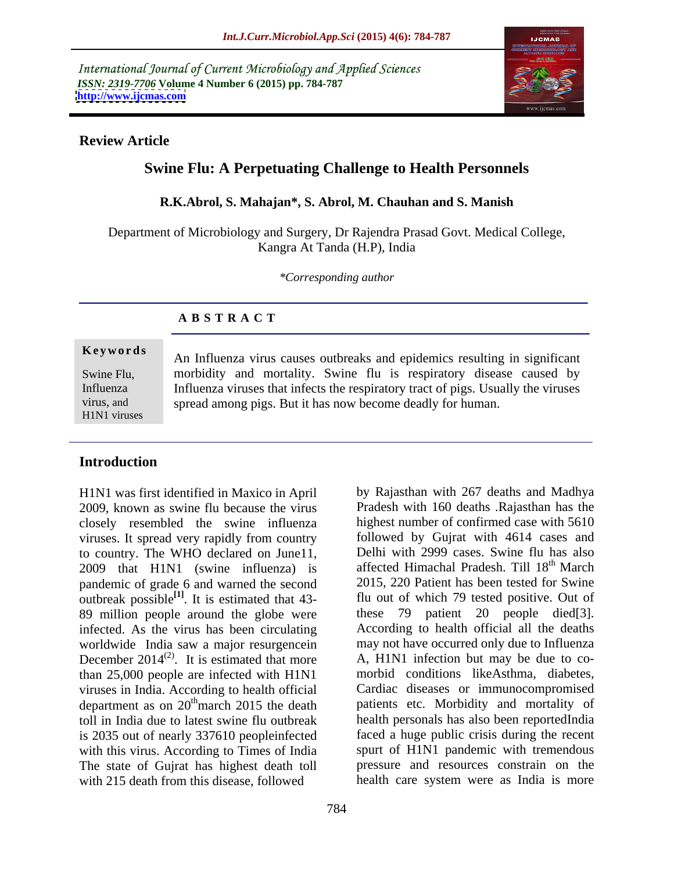International Journal of Current Microbiology and Applied Sciences *ISSN: 2319-7706* **Volume 4 Number 6 (2015) pp. 784-787 <http://www.ijcmas.com>**



### **Review Article**

# **Swine Flu: A Perpetuating Challenge to Health Personnels**

### **R.K.Abrol, S. Mahajan\*, S. Abrol, M. Chauhan and S. Manish**

Department of Microbiology and Surgery, Dr Rajendra Prasad Govt. Medical College, Kangra At Tanda (H.P), India

*\*Corresponding author*

# **A B S T R A C T**

H1N1 viruses

**Keywords** An Influenza virus causes outbreaks and epidemics resulting in significant Swine Flu, morbidity and mortality. Swine flu is respiratory disease caused by Influenza viruses that infects the respiratory tract of pigs. Usually the viruses Influenza spread among pigs. But it has now become deadly for human. virus, and

# **Introduction**

H1N1 was first identified in Maxico in April closely resembled the swine influenza viruses. It spread very rapidly from country to country. The WHO declared on June11, 2009 that H1N1 (swine influenza) is pandemic of grade 6 and warned the second outbreak possible $^{[1]}$ . It is estimated that 43-89 million people around the globe were infected. As the virus has been circulating worldwide India saw a major resurgencein December 2014<sup>(2)</sup>. It is estimated that more than 25,000 people are infected with H1N1 viruses in India. According to health official department as on 20<sup>th</sup> march 2015 the death is 2035 out of nearly 337610 peopleinfected The state of Gujrat has highest death toll<br>with 215 death from this disease, followed with 215 death from this disease, followed health care system were as India is more

2009, known as swine flu because the virus Pradesh with 160 deaths .Rajasthan has the **[1]** . It is estimated that 43- flu out of which 79 tested positive. Out of  $(2)$ . It is estimated that more  $\qquad$  A, H1N1 infection but may be due to co-<sup>th</sup>march 2015 the death patients etc. Morbidity and mortality of toll in India due to latest swine flu outbreak health personals has also been reportedIndia with this virus. According to Times of India spurt of H1N1 pandemic with tremendous by Rajasthan with 267 deaths and Madhya highest number of confirmed case with 5610 followed by Gujrat with 4614 cases and Delhi with 2999 cases. Swine flu has also affected Himachal Pradesh. Till 18<sup>th</sup> March <sup>th</sup> March 2015, 220 Patient has been tested for Swine these 79 patient 20 people died[3]. According to health official all the deaths may not have occurred only due to Influenza morbid conditions likeAsthma, diabetes, Cardiac diseases or immunocompromised faced a huge public crisis during the recent pressure and resources constrain on the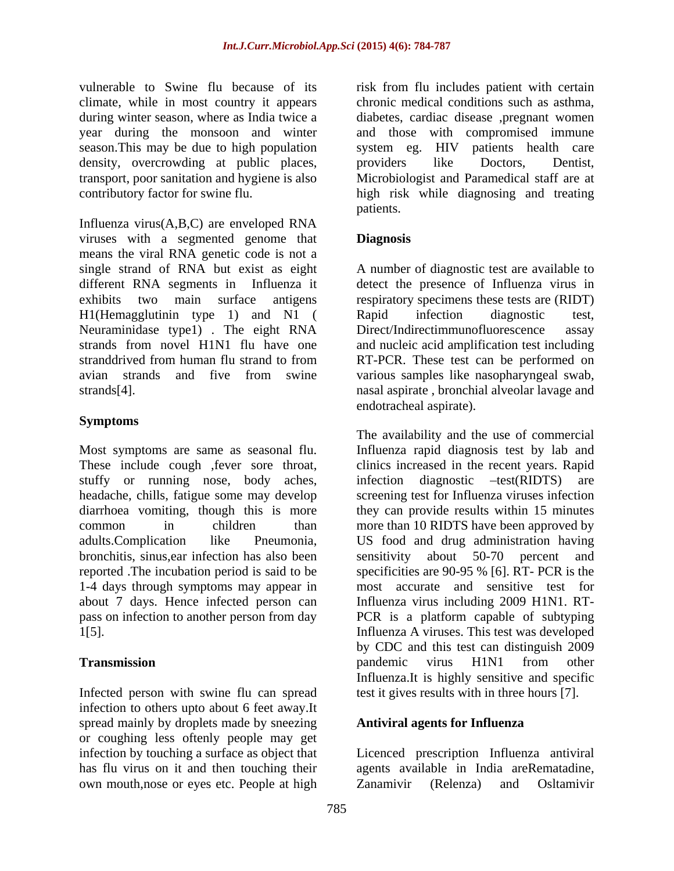vulnerable to Swine flu because of its risk from flu includes patient with certain climate, while in most country it appears chronic medical conditions such as asthma, during winter season, where as India twice a diabetes, cardiac disease ,pregnant women year during the monsoon and winter and those with compromised immune season.This may be due to high population system eg. HIV patients health care density, overcrowding at public places, providers like Doctors, Dentist, transport, poor sanitation and hygiene is also Microbiologist and Paramedical staff are at contributory factor for swine flu. high risk while diagnosing and treating

Influenza virus(A,B,C) are enveloped RNA viruses with a segmented genome that **Diagnosis** means the viral RNA genetic code is not a single strand of RNA but exist as eight A number of diagnostic test are available to different RNA segments in Influenza it detect the presence of Influenza virus in exhibits two main surface antigens respiratory specimens these tests are (RIDT) H1(Hemagglutinin type 1) and N1 ( Rapid infection diagnostic test, Neuraminidase type1). The eight RNA Direct/Indirectimmunofluorescence assay strands from novel H1N1 flu have one and nucleic acid amplification test including stranddrived from human flu strand to from RT-PCR. These test can be performed on avian strands and five from swine various sampleslike nasopharyngeal swab, strands[4]. nasal aspirate , bronchial alveolar lavage and

# **Symptoms**

These include cough ,fever sore throat, stuffy or running nose, body aches, infection diagnostic -test(RIDTS) are bronchitis, sinus,ear infection has also been reported .The incubation period is said to be 1-4 days through symptoms may appear in

Infected person with swine flu can spread test it gives results with in three hours [7]. infection to others upto about 6 feet away.It spread mainly by droplets made by sneezing or coughing less oftenly people may get own mouth,nose or eyes etc. People at high Zanamivir (Relenza) and Osltamivir

providers like Doctors, Dentist, patients.

# **Diagnosis**

Rapid infection diagnostic test, Direct/Indirectimmunofluorescence endotracheal aspirate).

Most symptoms are same as seasonal flu. Influenza rapid diagnosis test by lab and headache, chills, fatigue some may develop screening test for Influenza viruses infection diarrhoea vomiting, though this is more they can provide results within 15 minutes common in children than more than 10 RIDTS have been approved by adults.Complication like Pneumonia, US food and drug administration having about 7 days. Hence infected person can Influenza virus including 2009 H1N1. RT pass on infection to another person from day PCR is a platform capable of subtyping 1[5]. Influenza A viruses. This test was developed **Transmission Transmission Example 1 CONF CONFIDE 1 CONFIDENT CONFIDENT CONFIDENT CONFIDENT CONFIDENT CONFIDENT CONFIDENT CONFIDENT CONFIDENT CONFIDENT CONFIDENT CONFIDENT CONFIDENT CONF** The availability and the use of commercial clinics increased in the recent years. Rapid infection diagnostic  $-test(RIDTS)$ sensitivity about 50-70 percent specificities are 90-95 % [6]. RT- PCR is the most accurate and sensitive test for by CDC and this test can distinguish 2009 pandemic virus H1N1 from other Influenza.It is highly sensitive and specific

## **Antiviral agents for Influenza**

infection by touching a surface as object that Licenced prescription Influenza antiviral has flu virus on it and then touching their agents available in India areRematadine, Zanamivir (Relenza) and Osltamivir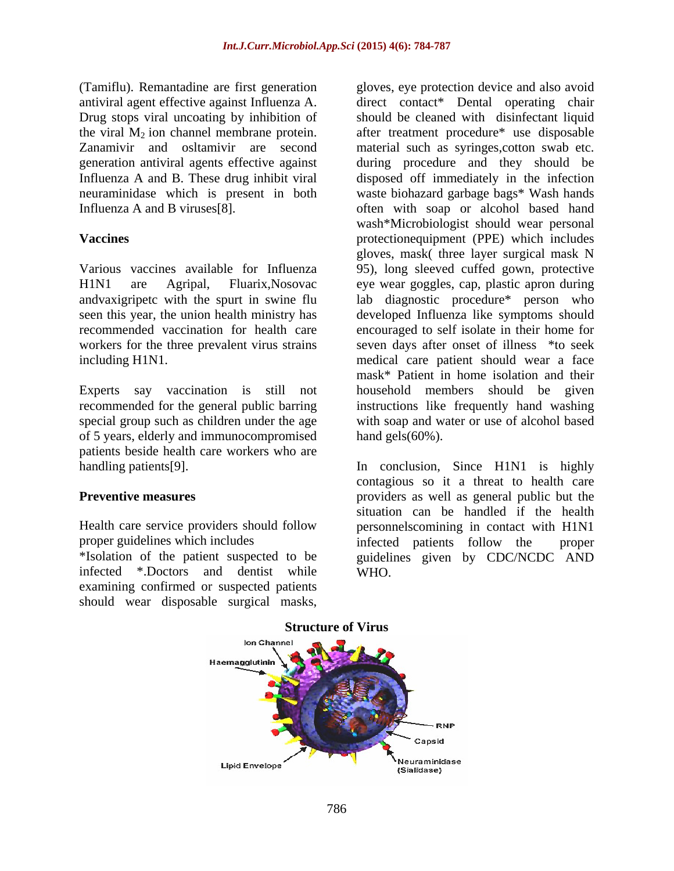(Tamiflu). Remantadine are first generation generation antiviral agents effective against

andvaxigripetc with the spurt in swine flu

Experts say vaccination is still not of 5 years, elderly and immunocompromised patients beside health care workers who are

infected \*.Doctors and dentist while examining confirmed or suspected patients

antiviral agent effective against Influenza A. direct contact\* Dental operating chair Drug stops viral uncoating by inhibition of should be cleaned with disinfectant liquid the viral  $M_2$  ion channel membrane protein. after treatment procedure\* use disposable Zanamivir and osltamivir are second material such as syringes,cotton swab etc. Influenza A and B. These drug inhibit viral disposed off immediately in the infection neuraminidase which is present in both waste biohazard garbage bags\* Wash hands Influenza A and B viruses[8]. often with soap or alcohol based hand **Vaccines** protectionequipment (PPE) which includes Various vaccines available for Influenza 95), long sleeved cuffed gown, protective H1N1 are Agripal, Fluarix,Nosovac eye wear goggles, cap, plastic apron during seen this year, the union health ministry has developed Influenza like symptoms should recommended vaccination for health care encouraged to self isolate in their home for workers for the three prevalent virus strains seven days after onset of illness  $*$ to seek including H1N1. medical care patient should wear a face recommended for the general public barring instructions like frequently hand washing special group such as children under the age with soap and water or use of alcohol based (Tumiflu), Remantation are first generation<br>
and the surgicus protocole divalistical material material material material material material material<br>
Drug stops wind uncoding by initition of subsolut be cleaned with disinfe during procedure and they should be wash\*Microbiologist should wear personal gloves, mask( three layer surgical mask N lab diagnostic procedure\* person who mask\* Patient in home isolation and their household members should be given hand gels(60%).

handling patients[9]. In conclusion, Since H1N1 is highly **Preventive measures** extending the providers as well as general public but the Health care service providers should follow personnelscomining in contact with H1N1 proper guidelines which includes infected patients follow the proper \*Isolation of the patient suspected to be guidelines given by CDC/NCDC AND contagious so it a threat to health care situation can be handled if the health infected patients follow the proper WHO.



### **Structure of Virus**